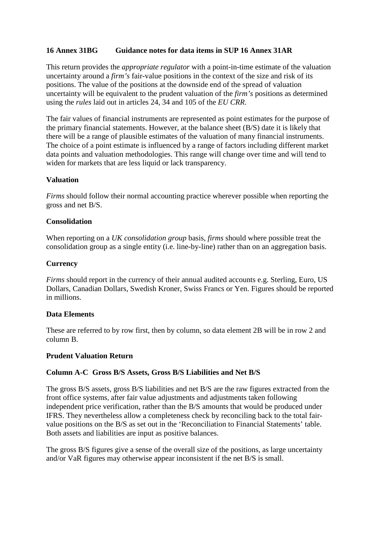#### **16 Annex 31BG Guidance notes for data items in SUP 16 Annex 31AR**

This return provides the *appropriate regulator* with a point-in-time estimate of the valuation uncertainty around a *firm's* fair-value positions in the context of the size and risk of its positions. The value of the positions at the downside end of the spread of valuation uncertainty will be equivalent to the prudent valuation of the *firm's* positions as determined using the *rules* laid out in articles 24, 34 and 105 of the *EU CRR*.

The fair values of financial instruments are represented as point estimates for the purpose of the primary financial statements. However, at the balance sheet (B/S) date it is likely that there will be a range of plausible estimates of the valuation of many financial instruments. The choice of a point estimate is influenced by a range of factors including different market data points and valuation methodologies. This range will change over time and will tend to widen for markets that are less liquid or lack transparency.

#### **Valuation**

*Firms* should follow their normal accounting practice wherever possible when reporting the gross and net B/S.

#### **Consolidation**

When reporting on a *UK consolidation group* basis, *firms* should where possible treat the consolidation group as a single entity (i.e. line-by-line) rather than on an aggregation basis.

#### **Currency**

*Firms* should report in the currency of their annual audited accounts e.g. Sterling, Euro, US Dollars, Canadian Dollars, Swedish Kroner, Swiss Francs or Yen. Figures should be reported in millions.

#### **Data Elements**

These are referred to by row first, then by column, so data element 2B will be in row 2 and column B.

#### **Prudent Valuation Return**

#### **Column A-C Gross B/S Assets, Gross B/S Liabilities and Net B/S**

The gross B/S assets, gross B/S liabilities and net B/S are the raw figures extracted from the front office systems, after fair value adjustments and adjustments taken following independent price verification, rather than the B/S amounts that would be produced under IFRS. They nevertheless allow a completeness check by reconciling back to the total fairvalue positions on the B/S as set out in the 'Reconciliation to Financial Statements' table. Both assets and liabilities are input as positive balances.

The gross B/S figures give a sense of the overall size of the positions, as large uncertainty and/or VaR figures may otherwise appear inconsistent if the net B/S is small.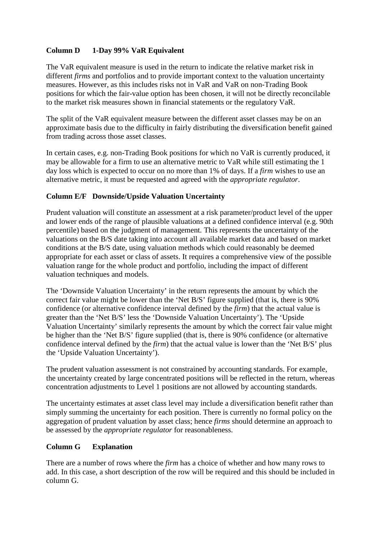## **Column D 1-Day 99% VaR Equivalent**

The VaR equivalent measure is used in the return to indicate the relative market risk in different *firms* and portfolios and to provide important context to the valuation uncertainty measures. However, as this includes risks not in VaR and VaR on non-Trading Book positions for which the fair-value option has been chosen, it will not be directly reconcilable to the market risk measures shown in financial statements or the regulatory VaR.

The split of the VaR equivalent measure between the different asset classes may be on an approximate basis due to the difficulty in fairly distributing the diversification benefit gained from trading across those asset classes.

In certain cases, e.g. non-Trading Book positions for which no VaR is currently produced, it may be allowable for a firm to use an alternative metric to VaR while still estimating the 1 day loss which is expected to occur on no more than 1% of days. If a *firm* wishes to use an alternative metric, it must be requested and agreed with the *appropriate regulator*.

#### **Column E/F Downside/Upside Valuation Uncertainty**

Prudent valuation will constitute an assessment at a risk parameter/product level of the upper and lower ends of the range of plausible valuations at a defined confidence interval (e.g. 90th percentile) based on the judgment of management. This represents the uncertainty of the valuations on the B/S date taking into account all available market data and based on market conditions at the B/S date, using valuation methods which could reasonably be deemed appropriate for each asset or class of assets. It requires a comprehensive view of the possible valuation range for the whole product and portfolio, including the impact of different valuation techniques and models.

The 'Downside Valuation Uncertainty' in the return represents the amount by which the correct fair value might be lower than the 'Net B/S' figure supplied (that is, there is 90% confidence (or alternative confidence interval defined by the *firm*) that the actual value is greater than the 'Net B/S' less the 'Downside Valuation Uncertainty'). The 'Upside Valuation Uncertainty' similarly represents the amount by which the correct fair value might be higher than the 'Net B/S' figure supplied (that is, there is 90% confidence (or alternative confidence interval defined by the *firm*) that the actual value is lower than the 'Net B/S' plus the 'Upside Valuation Uncertainty').

The prudent valuation assessment is not constrained by accounting standards. For example, the uncertainty created by large concentrated positions will be reflected in the return, whereas concentration adjustments to Level 1 positions are not allowed by accounting standards.

The uncertainty estimates at asset class level may include a diversification benefit rather than simply summing the uncertainty for each position. There is currently no formal policy on the aggregation of prudent valuation by asset class; hence *firms* should determine an approach to be assessed by the *appropriate regulator* for reasonableness.

#### **Column G Explanation**

There are a number of rows where the *firm* has a choice of whether and how many rows to add. In this case, a short description of the row will be required and this should be included in column G.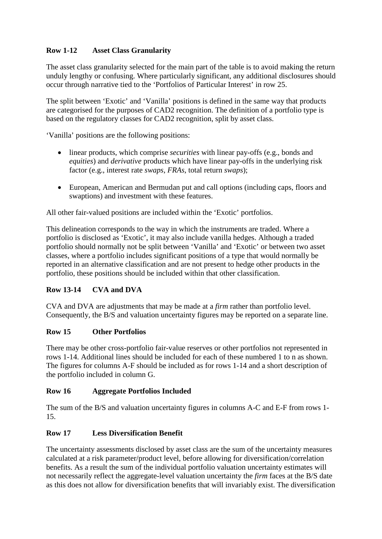# **Row 1-12 Asset Class Granularity**

The asset class granularity selected for the main part of the table is to avoid making the return unduly lengthy or confusing. Where particularly significant, any additional disclosures should occur through narrative tied to the 'Portfolios of Particular Interest' in row 25.

The split between 'Exotic' and 'Vanilla' positions is defined in the same way that products are categorised for the purposes of CAD2 recognition. The definition of a portfolio type is based on the regulatory classes for CAD2 recognition, split by asset class.

'Vanilla' positions are the following positions:

- linear products, which comprise *securities* with linear pay-offs (e.g., bonds and *equities*) and *derivative* products which have linear pay-offs in the underlying risk factor (e.g., interest rate *swaps*, *FRAs*, total return *swaps*);
- European, American and Bermudan put and call options (including caps, floors and swaptions) and investment with these features.

All other fair-valued positions are included within the 'Exotic' portfolios.

This delineation corresponds to the way in which the instruments are traded. Where a portfolio is disclosed as 'Exotic', it may also include vanilla hedges. Although a traded portfolio should normally not be split between 'Vanilla' and 'Exotic' or between two asset classes, where a portfolio includes significant positions of a type that would normally be reported in an alternative classification and are not present to hedge other products in the portfolio, these positions should be included within that other classification.

## **Row 13-14 CVA and DVA**

CVA and DVA are adjustments that may be made at a *firm* rather than portfolio level. Consequently, the B/S and valuation uncertainty figures may be reported on a separate line.

#### **Row 15 Other Portfolios**

There may be other cross-portfolio fair-value reserves or other portfolios not represented in rows 1-14. Additional lines should be included for each of these numbered 1 to n as shown. The figures for columns A-F should be included as for rows 1-14 and a short description of the portfolio included in column G.

#### **Row 16 Aggregate Portfolios Included**

The sum of the B/S and valuation uncertainty figures in columns A-C and E-F from rows 1- 15.

#### **Row 17 Less Diversification Benefit**

The uncertainty assessments disclosed by asset class are the sum of the uncertainty measures calculated at a risk parameter/product level, before allowing for diversification/correlation benefits. As a result the sum of the individual portfolio valuation uncertainty estimates will not necessarily reflect the aggregate-level valuation uncertainty the *firm* faces at the B/S date as this does not allow for diversification benefits that will invariably exist. The diversification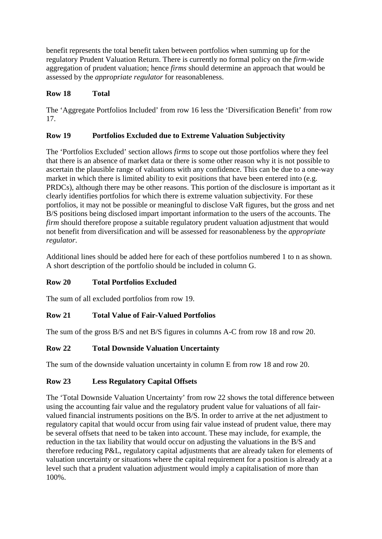benefit represents the total benefit taken between portfolios when summing up for the regulatory Prudent Valuation Return. There is currently no formal policy on the *firm*-wide aggregation of prudent valuation; hence *firms* should determine an approach that would be assessed by the *appropriate regulator* for reasonableness.

# **Row 18 Total**

The 'Aggregate Portfolios Included' from row 16 less the 'Diversification Benefit' from row 17.

# **Row 19 Portfolios Excluded due to Extreme Valuation Subjectivity**

The 'Portfolios Excluded' section allows *firms* to scope out those portfolios where they feel that there is an absence of market data or there is some other reason why it is not possible to ascertain the plausible range of valuations with any confidence. This can be due to a one-way market in which there is limited ability to exit positions that have been entered into (e.g. PRDCs), although there may be other reasons. This portion of the disclosure is important as it clearly identifies portfolios for which there is extreme valuation subjectivity. For these portfolios, it may not be possible or meaningful to disclose VaR figures, but the gross and net B/S positions being disclosed impart important information to the users of the accounts. The *firm* should therefore propose a suitable regulatory prudent valuation adjustment that would not benefit from diversification and will be assessed for reasonableness by the *appropriate regulator*.

Additional lines should be added here for each of these portfolios numbered 1 to n as shown. A short description of the portfolio should be included in column G.

# **Row 20 Total Portfolios Excluded**

The sum of all excluded portfolios from row 19.

## **Row 21 Total Value of Fair-Valued Portfolios**

The sum of the gross B/S and net B/S figures in columns A-C from row 18 and row 20.

## **Row 22 Total Downside Valuation Uncertainty**

The sum of the downside valuation uncertainty in column E from row 18 and row 20.

## **Row 23 Less Regulatory Capital Offsets**

The 'Total Downside Valuation Uncertainty' from row 22 shows the total difference between using the accounting fair value and the regulatory prudent value for valuations of all fairvalued financial instruments positions on the B/S. In order to arrive at the net adjustment to regulatory capital that would occur from using fair value instead of prudent value, there may be several offsets that need to be taken into account. These may include, for example, the reduction in the tax liability that would occur on adjusting the valuations in the B/S and therefore reducing P&L, regulatory capital adjustments that are already taken for elements of valuation uncertainty or situations where the capital requirement for a position is already at a level such that a prudent valuation adjustment would imply a capitalisation of more than 100%.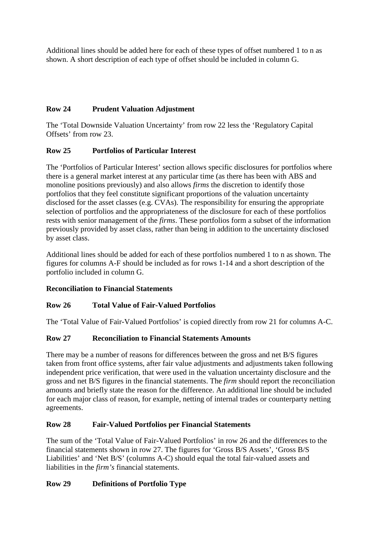Additional lines should be added here for each of these types of offset numbered 1 to n as shown. A short description of each type of offset should be included in column G.

# **Row 24 Prudent Valuation Adjustment**

The 'Total Downside Valuation Uncertainty' from row 22 less the 'Regulatory Capital Offsets' from row 23.

# **Row 25 Portfolios of Particular Interest**

The 'Portfolios of Particular Interest' section allows specific disclosures for portfolios where there is a general market interest at any particular time (as there has been with ABS and monoline positions previously) and also allows *firms* the discretion to identify those portfolios that they feel constitute significant proportions of the valuation uncertainty disclosed for the asset classes (e.g. CVAs). The responsibility for ensuring the appropriate selection of portfolios and the appropriateness of the disclosure for each of these portfolios rests with senior management of the *firms*. These portfolios form a subset of the information previously provided by asset class, rather than being in addition to the uncertainty disclosed by asset class.

Additional lines should be added for each of these portfolios numbered 1 to n as shown. The figures for columns A-F should be included as for rows 1-14 and a short description of the portfolio included in column G.

## **Reconciliation to Financial Statements**

## **Row 26 Total Value of Fair-Valued Portfolios**

The 'Total Value of Fair-Valued Portfolios' is copied directly from row 21 for columns A-C.

## **Row 27 Reconciliation to Financial Statements Amounts**

There may be a number of reasons for differences between the gross and net B/S figures taken from front office systems, after fair value adjustments and adjustments taken following independent price verification, that were used in the valuation uncertainty disclosure and the gross and net B/S figures in the financial statements. The *firm* should report the reconciliation amounts and briefly state the reason for the difference. An additional line should be included for each major class of reason, for example, netting of internal trades or counterparty netting agreements.

## **Row 28 Fair-Valued Portfolios per Financial Statements**

The sum of the 'Total Value of Fair-Valued Portfolios' in row 26 and the differences to the financial statements shown in row 27. The figures for 'Gross B/S Assets', 'Gross B/S Liabilities' and 'Net B/S' (columns A-C) should equal the total fair-valued assets and liabilities in the *firm's* financial statements.

## **Row 29 Definitions of Portfolio Type**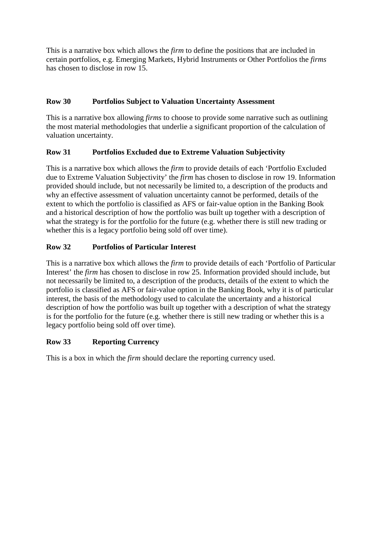This is a narrative box which allows the *firm* to define the positions that are included in certain portfolios, e.g. Emerging Markets, Hybrid Instruments or Other Portfolios the *firms* has chosen to disclose in row 15.

# **Row 30 Portfolios Subject to Valuation Uncertainty Assessment**

This is a narrative box allowing *firms* to choose to provide some narrative such as outlining the most material methodologies that underlie a significant proportion of the calculation of valuation uncertainty.

## **Row 31 Portfolios Excluded due to Extreme Valuation Subjectivity**

This is a narrative box which allows the *firm* to provide details of each 'Portfolio Excluded due to Extreme Valuation Subjectivity' the *firm* has chosen to disclose in row 19. Information provided should include, but not necessarily be limited to, a description of the products and why an effective assessment of valuation uncertainty cannot be performed, details of the extent to which the portfolio is classified as AFS or fair-value option in the Banking Book and a historical description of how the portfolio was built up together with a description of what the strategy is for the portfolio for the future (e.g. whether there is still new trading or whether this is a legacy portfolio being sold off over time).

# **Row 32 Portfolios of Particular Interest**

This is a narrative box which allows the *firm* to provide details of each 'Portfolio of Particular Interest' the *firm* has chosen to disclose in row 25. Information provided should include, but not necessarily be limited to, a description of the products, details of the extent to which the portfolio is classified as AFS or fair-value option in the Banking Book, why it is of particular interest, the basis of the methodology used to calculate the uncertainty and a historical description of how the portfolio was built up together with a description of what the strategy is for the portfolio for the future (e.g. whether there is still new trading or whether this is a legacy portfolio being sold off over time).

## **Row 33 Reporting Currency**

This is a box in which the *firm* should declare the reporting currency used.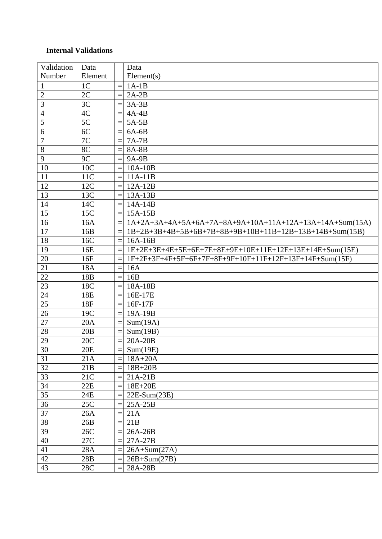## **Internal Validations**

| Number<br>Element<br>Element(s)<br>1 <sup>C</sup><br>$1A-1B$<br>$\mathbf{1}$<br>$\equiv$<br>$\overline{2C}$<br>$\overline{2}$<br>$2A-2B$<br>$=$<br>$\overline{3}$<br>3C<br>$3A-3B$<br>$\equiv$<br>4C<br>$\overline{4}$<br>$4A-4B$<br>$\equiv$<br>5<br>5C<br>$5A-5B$<br>$=$<br>6<br>6C<br>$6A-6B$<br>$7\mathrm{C}$<br>$\tau$<br>$\equiv$<br>$7A-7B$<br>8C<br>8<br>8A-8B<br>$=$<br>9<br>9C<br>9A-9B<br>10<br>10C<br>$10A-10B$<br>$=$<br>11<br>11C<br>$11A-11B$<br>$=$<br>12<br>12C<br>$12A-12B$<br>$\equiv$<br>13<br>13C<br>$13A-13B$<br>$=$<br>14<br>14C<br>$14A-14B$<br>$=$<br>15<br>15C<br>15A-15B<br>$=$<br>16<br>16A<br>$1A+2A+3A+4A+5A+6A+7A+8A+9A+10A+11A+12A+13A+14A+Sum(15A)$<br>17<br>$1B+2B+3B+4B+5B+6B+7B+8B+9B+10B+11B+12B+13B+14B+Sum(15B)$<br>16B<br>18<br>16C<br>$16A-16B$<br>$=$<br>19<br>16E<br>1E+2E+3E+4E+5E+6E+7E+8E+9E+10E+11E+12E+13E+14E+Sum(15E)<br>1F+2F+3F+4F+5F+6F+7F+8F+9F+10F+11F+12F+13F+14F+Sum(15F)<br>20<br>16F<br>21<br>18A<br>16A<br>$=$<br>22<br>18 <sub>B</sub><br>16B<br>$\equiv$<br>23<br>18C<br>18A-18B<br>$=$<br>24<br>18E<br>16E-17E<br>$\equiv$<br>25<br>18F<br>$16F-17F$<br>$=$<br>26<br>19C<br>$=$<br>19A-19B<br>$\overline{27}$<br>20A<br>Sum(19A)<br>$\equiv$<br>28<br>20B<br>Sum(19B)<br>$\equiv$<br>$=$<br>29<br>20C<br>20A-20B<br>$\overline{30}$<br>20E<br>Sum(19E)<br>$=$<br>31<br>21A<br>$\equiv$ |
|-------------------------------------------------------------------------------------------------------------------------------------------------------------------------------------------------------------------------------------------------------------------------------------------------------------------------------------------------------------------------------------------------------------------------------------------------------------------------------------------------------------------------------------------------------------------------------------------------------------------------------------------------------------------------------------------------------------------------------------------------------------------------------------------------------------------------------------------------------------------------------------------------------------------------------------------------------------------------------------------------------------------------------------------------------------------------------------------------------------------------------------------------------------------------------------------------------------------------------------------------------------------------------------------------------------------------------------------------------|
|                                                                                                                                                                                                                                                                                                                                                                                                                                                                                                                                                                                                                                                                                                                                                                                                                                                                                                                                                                                                                                                                                                                                                                                                                                                                                                                                                       |
|                                                                                                                                                                                                                                                                                                                                                                                                                                                                                                                                                                                                                                                                                                                                                                                                                                                                                                                                                                                                                                                                                                                                                                                                                                                                                                                                                       |
|                                                                                                                                                                                                                                                                                                                                                                                                                                                                                                                                                                                                                                                                                                                                                                                                                                                                                                                                                                                                                                                                                                                                                                                                                                                                                                                                                       |
|                                                                                                                                                                                                                                                                                                                                                                                                                                                                                                                                                                                                                                                                                                                                                                                                                                                                                                                                                                                                                                                                                                                                                                                                                                                                                                                                                       |
|                                                                                                                                                                                                                                                                                                                                                                                                                                                                                                                                                                                                                                                                                                                                                                                                                                                                                                                                                                                                                                                                                                                                                                                                                                                                                                                                                       |
|                                                                                                                                                                                                                                                                                                                                                                                                                                                                                                                                                                                                                                                                                                                                                                                                                                                                                                                                                                                                                                                                                                                                                                                                                                                                                                                                                       |
|                                                                                                                                                                                                                                                                                                                                                                                                                                                                                                                                                                                                                                                                                                                                                                                                                                                                                                                                                                                                                                                                                                                                                                                                                                                                                                                                                       |
|                                                                                                                                                                                                                                                                                                                                                                                                                                                                                                                                                                                                                                                                                                                                                                                                                                                                                                                                                                                                                                                                                                                                                                                                                                                                                                                                                       |
|                                                                                                                                                                                                                                                                                                                                                                                                                                                                                                                                                                                                                                                                                                                                                                                                                                                                                                                                                                                                                                                                                                                                                                                                                                                                                                                                                       |
|                                                                                                                                                                                                                                                                                                                                                                                                                                                                                                                                                                                                                                                                                                                                                                                                                                                                                                                                                                                                                                                                                                                                                                                                                                                                                                                                                       |
|                                                                                                                                                                                                                                                                                                                                                                                                                                                                                                                                                                                                                                                                                                                                                                                                                                                                                                                                                                                                                                                                                                                                                                                                                                                                                                                                                       |
|                                                                                                                                                                                                                                                                                                                                                                                                                                                                                                                                                                                                                                                                                                                                                                                                                                                                                                                                                                                                                                                                                                                                                                                                                                                                                                                                                       |
|                                                                                                                                                                                                                                                                                                                                                                                                                                                                                                                                                                                                                                                                                                                                                                                                                                                                                                                                                                                                                                                                                                                                                                                                                                                                                                                                                       |
|                                                                                                                                                                                                                                                                                                                                                                                                                                                                                                                                                                                                                                                                                                                                                                                                                                                                                                                                                                                                                                                                                                                                                                                                                                                                                                                                                       |
|                                                                                                                                                                                                                                                                                                                                                                                                                                                                                                                                                                                                                                                                                                                                                                                                                                                                                                                                                                                                                                                                                                                                                                                                                                                                                                                                                       |
|                                                                                                                                                                                                                                                                                                                                                                                                                                                                                                                                                                                                                                                                                                                                                                                                                                                                                                                                                                                                                                                                                                                                                                                                                                                                                                                                                       |
|                                                                                                                                                                                                                                                                                                                                                                                                                                                                                                                                                                                                                                                                                                                                                                                                                                                                                                                                                                                                                                                                                                                                                                                                                                                                                                                                                       |
|                                                                                                                                                                                                                                                                                                                                                                                                                                                                                                                                                                                                                                                                                                                                                                                                                                                                                                                                                                                                                                                                                                                                                                                                                                                                                                                                                       |
|                                                                                                                                                                                                                                                                                                                                                                                                                                                                                                                                                                                                                                                                                                                                                                                                                                                                                                                                                                                                                                                                                                                                                                                                                                                                                                                                                       |
|                                                                                                                                                                                                                                                                                                                                                                                                                                                                                                                                                                                                                                                                                                                                                                                                                                                                                                                                                                                                                                                                                                                                                                                                                                                                                                                                                       |
|                                                                                                                                                                                                                                                                                                                                                                                                                                                                                                                                                                                                                                                                                                                                                                                                                                                                                                                                                                                                                                                                                                                                                                                                                                                                                                                                                       |
|                                                                                                                                                                                                                                                                                                                                                                                                                                                                                                                                                                                                                                                                                                                                                                                                                                                                                                                                                                                                                                                                                                                                                                                                                                                                                                                                                       |
|                                                                                                                                                                                                                                                                                                                                                                                                                                                                                                                                                                                                                                                                                                                                                                                                                                                                                                                                                                                                                                                                                                                                                                                                                                                                                                                                                       |
|                                                                                                                                                                                                                                                                                                                                                                                                                                                                                                                                                                                                                                                                                                                                                                                                                                                                                                                                                                                                                                                                                                                                                                                                                                                                                                                                                       |
|                                                                                                                                                                                                                                                                                                                                                                                                                                                                                                                                                                                                                                                                                                                                                                                                                                                                                                                                                                                                                                                                                                                                                                                                                                                                                                                                                       |
|                                                                                                                                                                                                                                                                                                                                                                                                                                                                                                                                                                                                                                                                                                                                                                                                                                                                                                                                                                                                                                                                                                                                                                                                                                                                                                                                                       |
|                                                                                                                                                                                                                                                                                                                                                                                                                                                                                                                                                                                                                                                                                                                                                                                                                                                                                                                                                                                                                                                                                                                                                                                                                                                                                                                                                       |
|                                                                                                                                                                                                                                                                                                                                                                                                                                                                                                                                                                                                                                                                                                                                                                                                                                                                                                                                                                                                                                                                                                                                                                                                                                                                                                                                                       |
|                                                                                                                                                                                                                                                                                                                                                                                                                                                                                                                                                                                                                                                                                                                                                                                                                                                                                                                                                                                                                                                                                                                                                                                                                                                                                                                                                       |
|                                                                                                                                                                                                                                                                                                                                                                                                                                                                                                                                                                                                                                                                                                                                                                                                                                                                                                                                                                                                                                                                                                                                                                                                                                                                                                                                                       |
|                                                                                                                                                                                                                                                                                                                                                                                                                                                                                                                                                                                                                                                                                                                                                                                                                                                                                                                                                                                                                                                                                                                                                                                                                                                                                                                                                       |
| $18A+20A$                                                                                                                                                                                                                                                                                                                                                                                                                                                                                                                                                                                                                                                                                                                                                                                                                                                                                                                                                                                                                                                                                                                                                                                                                                                                                                                                             |
| 32<br>21B<br>$18B+20B$<br>$=$                                                                                                                                                                                                                                                                                                                                                                                                                                                                                                                                                                                                                                                                                                                                                                                                                                                                                                                                                                                                                                                                                                                                                                                                                                                                                                                         |
| 33<br>21C<br>$21A-21B$<br>$=$                                                                                                                                                                                                                                                                                                                                                                                                                                                                                                                                                                                                                                                                                                                                                                                                                                                                                                                                                                                                                                                                                                                                                                                                                                                                                                                         |
| 34<br>22E<br>18E+20E<br>$=$                                                                                                                                                                                                                                                                                                                                                                                                                                                                                                                                                                                                                                                                                                                                                                                                                                                                                                                                                                                                                                                                                                                                                                                                                                                                                                                           |
| $\overline{35}$<br>24E<br>$22E-Sum(23E)$<br>$=$                                                                                                                                                                                                                                                                                                                                                                                                                                                                                                                                                                                                                                                                                                                                                                                                                                                                                                                                                                                                                                                                                                                                                                                                                                                                                                       |
| 36<br>25C<br>$25A-25B$<br>$=$                                                                                                                                                                                                                                                                                                                                                                                                                                                                                                                                                                                                                                                                                                                                                                                                                                                                                                                                                                                                                                                                                                                                                                                                                                                                                                                         |
| $\overline{37}$<br>26A<br>21A<br>$=$                                                                                                                                                                                                                                                                                                                                                                                                                                                                                                                                                                                                                                                                                                                                                                                                                                                                                                                                                                                                                                                                                                                                                                                                                                                                                                                  |
| 38<br>26B<br>21B<br>$=$                                                                                                                                                                                                                                                                                                                                                                                                                                                                                                                                                                                                                                                                                                                                                                                                                                                                                                                                                                                                                                                                                                                                                                                                                                                                                                                               |
| 39<br>26C<br>26A-26B                                                                                                                                                                                                                                                                                                                                                                                                                                                                                                                                                                                                                                                                                                                                                                                                                                                                                                                                                                                                                                                                                                                                                                                                                                                                                                                                  |
| 40<br>27C<br>27A-27B                                                                                                                                                                                                                                                                                                                                                                                                                                                                                                                                                                                                                                                                                                                                                                                                                                                                                                                                                                                                                                                                                                                                                                                                                                                                                                                                  |
| 41<br>28A<br>$26A+Sum(27A)$                                                                                                                                                                                                                                                                                                                                                                                                                                                                                                                                                                                                                                                                                                                                                                                                                                                                                                                                                                                                                                                                                                                                                                                                                                                                                                                           |
| 42<br>28B<br>$26B+Sum(27B)$                                                                                                                                                                                                                                                                                                                                                                                                                                                                                                                                                                                                                                                                                                                                                                                                                                                                                                                                                                                                                                                                                                                                                                                                                                                                                                                           |
| 43<br>28C<br>28A-28B                                                                                                                                                                                                                                                                                                                                                                                                                                                                                                                                                                                                                                                                                                                                                                                                                                                                                                                                                                                                                                                                                                                                                                                                                                                                                                                                  |